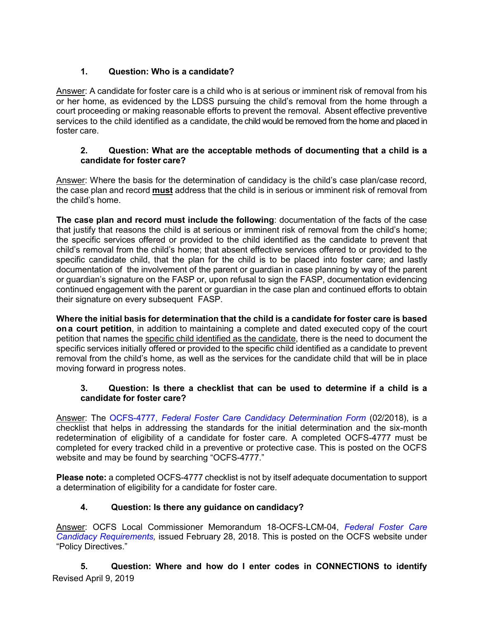# **1. Question: Who is a candidate?**

Answer: A candidate for foster care is a child who is at serious or imminent risk of removal from his or her home, as evidenced by the LDSS pursuing the child's removal from the home through a court proceeding or making reasonable efforts to prevent the removal. Absent effective preventive services to the child identified as a candidate, the child would be removed from the home and placed in foster care.

## **2. Question: What are the acceptable methods of documenting that a child is a candidate for foster care?**

Answer: Where the basis for the determination of candidacy is the child's case plan/case record, the case plan and record **must** address that the child is in serious or imminent risk of removal from the child's home.

**The case plan and record must include the following**: documentation of the facts of the case that justify that reasons the child is at serious or imminent risk of removal from the child's home; the specific services offered or provided to the child identified as the candidate to prevent that child's removal from the child's home; that absent effective services offered to or provided to the specific candidate child, that the plan for the child is to be placed into foster care; and lastly documentation of the involvement of the parent or guardian in case planning by way of the parent or guardian's signature on the FASP or, upon refusal to sign the FASP, documentation evidencing continued engagement with the parent or guardian in the case plan and continued efforts to obtain their signature on every subsequent FASP.

**Where the initial basis for determination that the child is a candidate for foster care is based ona court petition**, in addition to maintaining a complete and dated executed copy of the court petition that names the specific child identified as the candidate, there is the need to document the specific services initially offered or provided to the specific child identified as a candidate to prevent removal from the child's home, as well as the services for the candidate child that will be in place moving forward in progress notes.

## **3. Question: Is there a checklist that can be used to determine if a child is a candidate for foster care?**

Answer: The OCFS-4777, *Federal Foster Care Candidacy Determination Form* (02/2018), is a checklist that helps in addressing the standards for the initial determination and the six-month redetermination of eligibility of a candidate for foster care. A completed OCFS-4777 must be completed for every tracked child in a preventive or protective case. This is posted on the OCFS website and may be found by searching "OCFS-4777."

**Please note:** a completed OCFS-4777 checklist is not by itself adequate documentation to support a determination of eligibility for a candidate for foster care.

# **4. Question: Is there any guidance on candidacy?**

Answer: OCFS Local Commissioner Memorandum 18-OCFS-LCM-04, *[Federal Foster Care](https://ocfs.ny.gov/main/policies/external/ocfs_2018/LCM/18-OCFS-LCM-04.docx) [Candidacy Requirements,](https://ocfs.ny.gov/main/policies/external/ocfs_2018/LCM/18-OCFS-LCM-04.docx)* issued February 28, 2018. This is posted on the OCFS website under "Policy Directives."

Revised April 9, 2019 **5. Question: Where and how do I enter codes in CONNECTIONS to identify**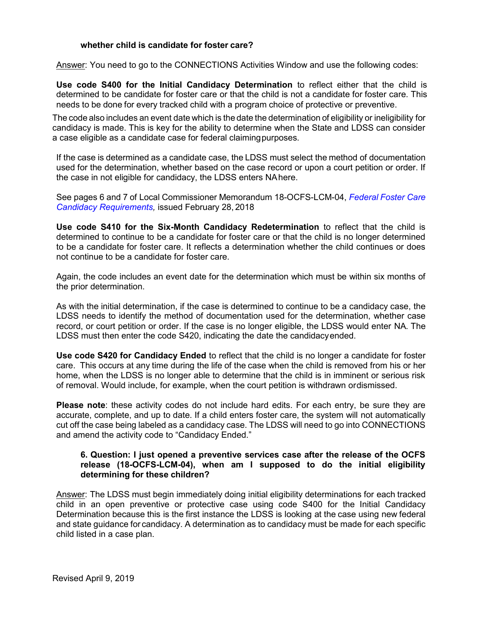### **whether child is candidate for foster care?**

Answer: You need to go to the CONNECTIONS Activities Window and use the following codes:

**Use code S400 for the Initial Candidacy Determination** to reflect either that the child is determined to be candidate for foster care or that the child is not a candidate for foster care. This needs to be done for every tracked child with a program choice of protective or preventive.

The code also includes an event date which is the date the determination of eligibility or ineligibility for candidacy is made. This is key for the ability to determine when the State and LDSS can consider a case eligible as a candidate case for federal claimingpurposes.

If the case is determined as a candidate case, the LDSS must select the method of documentation used for the determination, whether based on the case record or upon a court petition or order. If the case in not eligible for candidacy, the LDSS enters NAhere.

See pages 6 and 7 of Local Commissioner Memorandum 18-OCFS-LCM-04, *[Federal](https://ocfs.ny.gov/main/policies/external/ocfs_2018/LCM/18-OCFS-LCM-04.docx) Foster Care [Candidacy Requirements,](https://ocfs.ny.gov/main/policies/external/ocfs_2018/LCM/18-OCFS-LCM-04.docx)* issued February 28, 2018

**Use code S410 for the Six-Month Candidacy Redetermination** to reflect that the child is determined to continue to be a candidate for foster care or that the child is no longer determined to be a candidate for foster care. It reflects a determination whether the child continues or does not continue to be a candidate for foster care.

Again, the code includes an event date for the determination which must be within six months of the prior determination.

As with the initial determination, if the case is determined to continue to be a candidacy case, the LDSS needs to identify the method of documentation used for the determination, whether case record, or court petition or order. If the case is no longer eligible, the LDSS would enter NA. The LDSS must then enter the code S420, indicating the date the candidacyended.

**Use code S420 for Candidacy Ended** to reflect that the child is no longer a candidate for foster care. This occurs at any time during the life of the case when the child is removed from his or her home, when the LDSS is no longer able to determine that the child is in imminent or serious risk of removal. Would include, for example, when the court petition is withdrawn ordismissed.

**Please note**: these activity codes do not include hard edits. For each entry, be sure they are accurate, complete, and up to date. If a child enters foster care, the system will not automatically cut off the case being labeled as a candidacy case. The LDSS will need to go into CONNECTIONS and amend the activity code to "Candidacy Ended."

#### **6. Question: I just opened a preventive services case after the release of the OCFS release (18-OCFS-LCM-04), when am I supposed to do the initial eligibility determining for these children?**

Answer: The LDSS must begin immediately doing initial eligibility determinations for each tracked child in an open preventive or protective case using code S400 for the Initial Candidacy Determination because this is the first instance the LDSS is looking at the case using new federal and state guidance for candidacy. A determination as to candidacy must be made for each specific child listed in a case plan.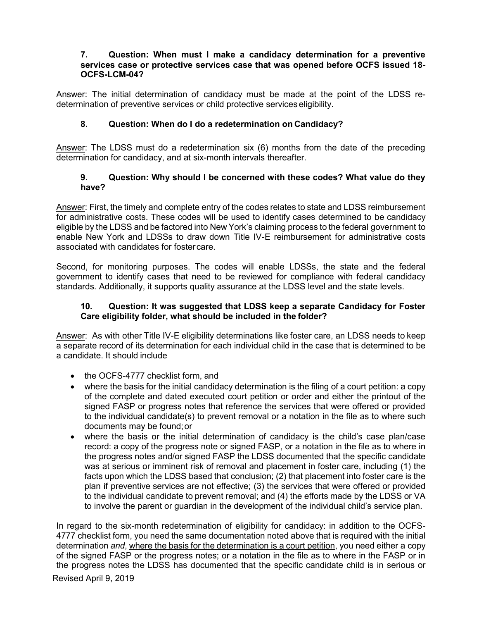#### **7. Question: When must I make a candidacy determination for a preventive services case or protective services case that was opened before OCFS issued 18- OCFS-LCM-04?**

Answer: The initial determination of candidacy must be made at the point of the LDSS redetermination of preventive services or child protective services eligibility.

## **8. Question: When do I do a redetermination on Candidacy?**

Answer: The LDSS must do a redetermination six (6) months from the date of the preceding determination for candidacy, and at six-month intervals thereafter.

### **9. Question: Why should I be concerned with these codes? What value do they have?**

Answer: First, the timely and complete entry of the codes relates to state and LDSS reimbursement for administrative costs. These codes will be used to identify cases determined to be candidacy eligible by the LDSS and be factored into New York's claiming process to the federal government to enable New York and LDSSs to draw down Title IV-E reimbursement for administrative costs associated with candidates for fostercare.

Second, for monitoring purposes. The codes will enable LDSSs, the state and the federal government to identify cases that need to be reviewed for compliance with federal candidacy standards. Additionally, it supports quality assurance at the LDSS level and the state levels.

### **10. Question: It was suggested that LDSS keep a separate Candidacy for Foster Care eligibility folder, what should be included in the folder?**

Answer: As with other Title IV-E eligibility determinations like foster care, an LDSS needs to keep a separate record of its determination for each individual child in the case that is determined to be a candidate. It should include

- the OCFS-4777 checklist form, and
- where the basis for the initial candidacy determination is the filing of a court petition: a copy of the complete and dated executed court petition or order and either the printout of the signed FASP or progress notes that reference the services that were offered or provided to the individual candidate(s) to prevent removal or a notation in the file as to where such documents may be found;or
- where the basis or the initial determination of candidacy is the child's case plan/case record: a copy of the progress note or signed FASP, or a notation in the file as to where in the progress notes and/or signed FASP the LDSS documented that the specific candidate was at serious or imminent risk of removal and placement in foster care, including (1) the facts upon which the LDSS based that conclusion; (2) that placement into foster care is the plan if preventive services are not effective; (3) the services that were offered or provided to the individual candidate to prevent removal; and (4) the efforts made by the LDSS or VA to involve the parent or guardian in the development of the individual child's service plan.

Revised April 9, 2019 In regard to the six-month redetermination of eligibility for candidacy: in addition to the OCFS-4777 checklist form, you need the same documentation noted above that is required with the initial determination *and*, where the basis for the determination is a court petition, you need either a copy of the signed FASP or the progress notes; or a notation in the file as to where in the FASP or in the progress notes the LDSS has documented that the specific candidate child is in serious or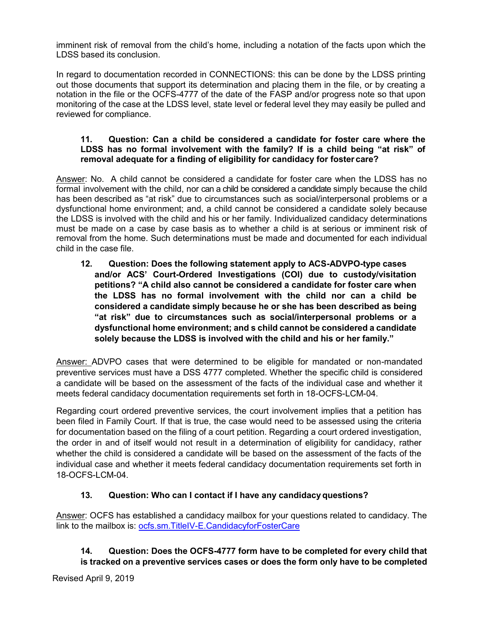imminent risk of removal from the child's home, including a notation of the facts upon which the LDSS based its conclusion.

In regard to documentation recorded in CONNECTIONS: this can be done by the LDSS printing out those documents that support its determination and placing them in the file, or by creating a notation in the file or the OCFS-4777 of the date of the FASP and/or progress note so that upon monitoring of the case at the LDSS level, state level or federal level they may easily be pulled and reviewed for compliance.

### **11. Question: Can a child be considered a candidate for foster care where the LDSS has no formal involvement with the family? If is a child being "at risk" of removal adequate for a finding of eligibility for candidacy for foster care?**

Answer: No. A child cannot be considered a candidate for foster care when the LDSS has no formal involvement with the child, nor can a child be considered a candidate simply because the child has been described as "at risk" due to circumstances such as social/interpersonal problems or a dysfunctional home environment; and, a child cannot be considered a candidate solely because the LDSS is involved with the child and his or her family. Individualized candidacy determinations must be made on a case by case basis as to whether a child is at serious or imminent risk of removal from the home. Such determinations must be made and documented for each individual child in the case file.

**12. Question: Does the following statement apply to ACS-ADVPO-type cases and/or ACS' Court-Ordered Investigations (COI) due to custody/visitation petitions? "A child also cannot be considered a candidate for foster care when the LDSS has no formal involvement with the child nor can a child be considered a candidate simply because he or she has been described as being "at risk" due to circumstances such as social/interpersonal problems or a dysfunctional home environment; and s child cannot be considered a candidate solely because the LDSS is involved with the child and his or her family."**

Answer: ADVPO cases that were determined to be eligible for mandated or non-mandated preventive services must have a DSS 4777 completed. Whether the specific child is considered a candidate will be based on the assessment of the facts of the individual case and whether it meets federal candidacy documentation requirements set forth in 18-OCFS-LCM-04.

Regarding court ordered preventive services, the court involvement implies that a petition has been filed in Family Court. If that is true, the case would need to be assessed using the criteria for documentation based on the filing of a court petition. Regarding a court ordered investigation, the order in and of itself would not result in a determination of eligibility for candidacy, rather whether the child is considered a candidate will be based on the assessment of the facts of the individual case and whether it meets federal candidacy documentation requirements set forth in 18-OCFS-LCM-04.

# **13. Question: Who can I contact if I have any candidacyquestions?**

Answer: OCFS has established a candidacy mailbox for your questions related to candidacy. The link to the mailbox is: ocfs.sm.TitleIV-E.CandidacyforFosterCare

## **14. Question: Does the OCFS-4777 form have to be completed for every child that is tracked on a preventive services cases or does the form only have to be completed**

Revised April 9, 2019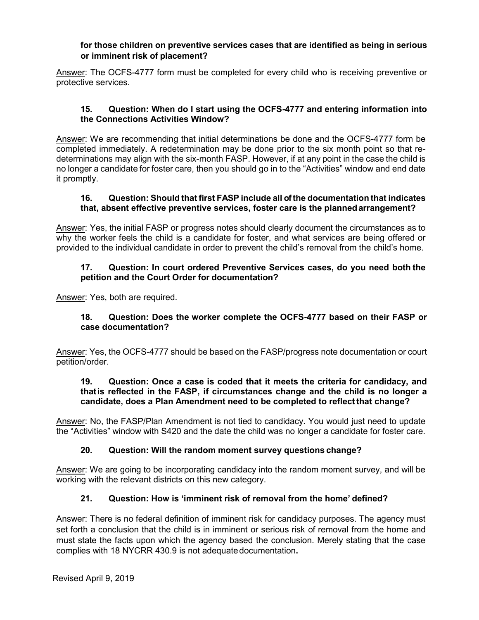### **for those children on preventive services cases that are identified as being in serious or imminent risk of placement?**

Answer: The OCFS-4777 form must be completed for every child who is receiving preventive or protective services.

### **15. Question: When do I start using the OCFS-4777 and entering information into the Connections Activities Window?**

Answer: We are recommending that initial determinations be done and the OCFS-4777 form be completed immediately. A redetermination may be done prior to the six month point so that redeterminations may align with the six-month FASP. However, if at any point in the case the child is no longer a candidate for foster care, then you should go in to the "Activities" window and end date it promptly.

### **16. Question: Should that first FASP include all of the documentation that indicates that, absent effective preventive services, foster care is the plannedarrangement?**

Answer: Yes, the initial FASP or progress notes should clearly document the circumstances as to why the worker feels the child is a candidate for foster, and what services are being offered or provided to the individual candidate in order to prevent the child's removal from the child's home.

### **17. Question: In court ordered Preventive Services cases, do you need both the petition and the Court Order for documentation?**

Answer: Yes, both are required.

### **18. Question: Does the worker complete the OCFS-4777 based on their FASP or case documentation?**

Answer: Yes, the OCFS-4777 should be based on the FASP/progress note documentation or court petition/order.

### **19. Question: Once a case is coded that it meets the criteria for candidacy, and thatis reflected in the FASP, if circumstances change and the child is no longer a candidate, does a Plan Amendment need to be completed to reflectthat change?**

Answer: No, the FASP/Plan Amendment is not tied to candidacy. You would just need to update the "Activities" window with S420 and the date the child was no longer a candidate for foster care.

### **20. Question: Will the random moment survey questions change?**

Answer: We are going to be incorporating candidacy into the random moment survey, and will be working with the relevant districts on this new category.

# **21. Question: How is 'imminent risk of removal from the home' defined?**

Answer: There is no federal definition of imminent risk for candidacy purposes. The agency must set forth a conclusion that the child is in imminent or serious risk of removal from the home and must state the facts upon which the agency based the conclusion. Merely stating that the case complies with 18 NYCRR 430.9 is not adequate documentation.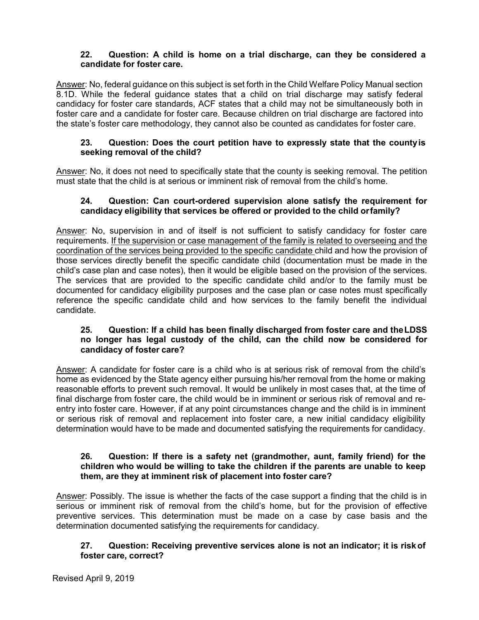## **22. Question: A child is home on a trial discharge, can they be considered a candidate for foster care.**

Answer: No, federal guidance on this subject is set forth in the Child Welfare Policy Manual section 8.1D. While the federal guidance states that a child on trial discharge may satisfy federal candidacy for foster care standards, ACF states that a child may not be simultaneously both in foster care and a candidate for foster care. Because children on trial discharge are factored into the state's foster care methodology, they cannot also be counted as candidates for foster care.

### **23. Question: Does the court petition have to expressly state that the countyis seeking removal of the child?**

Answer: No, it does not need to specifically state that the county is seeking removal. The petition must state that the child is at serious or imminent risk of removal from the child's home.

#### **24. Question: Can court-ordered supervision alone satisfy the requirement for candidacy eligibility that services be offered or provided to the child orfamily?**

Answer: No, supervision in and of itself is not sufficient to satisfy candidacy for foster care requirements. If the supervision or case management of the family is related to overseeing and the coordination of the services being provided to the specific candidate child and how the provision of those services directly benefit the specific candidate child (documentation must be made in the child's case plan and case notes), then it would be eligible based on the provision of the services. The services that are provided to the specific candidate child and/or to the family must be documented for candidacy eligibility purposes and the case plan or case notes must specifically reference the specific candidate child and how services to the family benefit the individual candidate.

### **25. Question: If a child has been finally discharged from foster care and theLDSS no longer has legal custody of the child, can the child now be considered for candidacy of foster care?**

Answer: A candidate for foster care is a child who is at serious risk of removal from the child's home as evidenced by the State agency either pursuing his/her removal from the home or making reasonable efforts to prevent such removal. It would be unlikely in most cases that, at the time of final discharge from foster care, the child would be in imminent or serious risk of removal and reentry into foster care. However, if at any point circumstances change and the child is in imminent or serious risk of removal and replacement into foster care, a new initial candidacy eligibility determination would have to be made and documented satisfying the requirements for candidacy.

### **26. Question: If there is a safety net (grandmother, aunt, family friend) for the children who would be willing to take the children if the parents are unable to keep them, are they at imminent risk of placement into foster care?**

Answer: Possibly. The issue is whether the facts of the case support a finding that the child is in serious or imminent risk of removal from the child's home, but for the provision of effective preventive services. This determination must be made on a case by case basis and the determination documented satisfying the requirements for candidacy.

### **27. Question: Receiving preventive services alone is not an indicator; it is riskof foster care, correct?**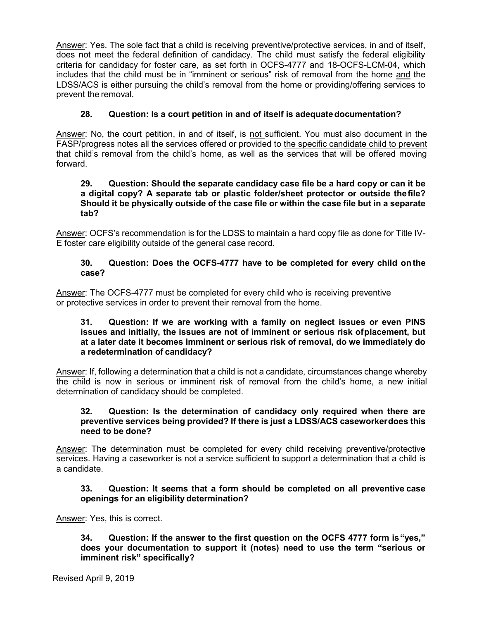Answer: Yes. The sole fact that a child is receiving preventive/protective services, in and of itself, does not meet the federal definition of candidacy. The child must satisfy the federal eligibility criteria for candidacy for foster care, as set forth in OCFS-4777 and 18-OCFS-LCM-04, which includes that the child must be in "imminent or serious" risk of removal from the home and the LDSS/ACS is either pursuing the child's removal from the home or providing/offering services to prevent the removal.

# **28. Question: Is a court petition in and of itself is adequatedocumentation?**

Answer: No, the court petition, in and of itself, is not sufficient. You must also document in the FASP/progress notes all the services offered or provided to the specific candidate child to prevent that child's removal from the child's home, as well as the services that will be offered moving forward.

#### **29. Question: Should the separate candidacy case file be a hard copy or can it be a digital copy? A separate tab or plastic folder/sheet protector or outside thefile? Should it be physically outside of the case file or within the case file but in a separate tab?**

Answer: OCFS's recommendation is for the LDSS to maintain a hard copy file as done for Title IV-E foster care eligibility outside of the general case record.

### **30. Question: Does the OCFS-4777 have to be completed for every child on the case?**

Answer: The OCFS-4777 must be completed for every child who is receiving preventive or protective services in order to prevent their removal from the home.

### **31. Question: If we are working with a family on neglect issues or even PINS issues and initially, the issues are not of imminent or serious risk ofplacement, but at a later date it becomes imminent or serious risk of removal, do we immediately do a redetermination of candidacy?**

Answer: If, following a determination that a child is not a candidate, circumstances change whereby the child is now in serious or imminent risk of removal from the child's home, a new initial determination of candidacy should be completed.

### **32. Question: Is the determination of candidacy only required when there are preventive services being provided? If there is just a LDSS/ACS caseworkerdoes this need to be done?**

Answer: The determination must be completed for every child receiving preventive/protective services. Having a caseworker is not a service sufficient to support a determination that a child is a candidate.

### **33. Question: It seems that a form should be completed on all preventive case openings for an eligibility determination?**

Answer: Yes, this is correct.

**34. Question: If the answer to the first question on the OCFS 4777 form is"yes," does your documentation to support it (notes) need to use the term "serious or imminent risk" specifically?**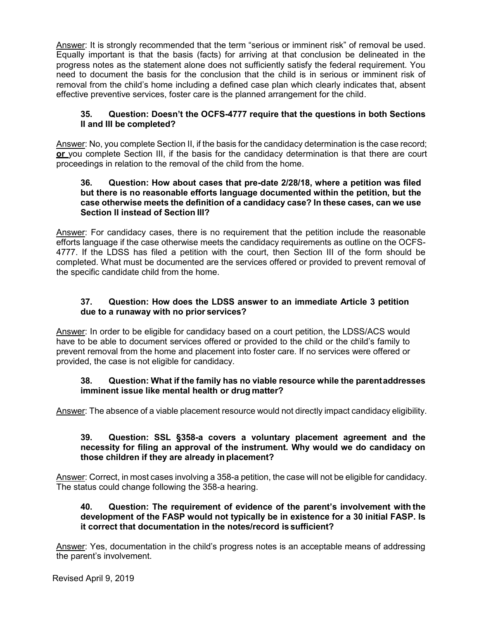Answer: It is strongly recommended that the term "serious or imminent risk" of removal be used. Equally important is that the basis (facts) for arriving at that conclusion be delineated in the progress notes as the statement alone does not sufficiently satisfy the federal requirement. You need to document the basis for the conclusion that the child is in serious or imminent risk of removal from the child's home including a defined case plan which clearly indicates that, absent effective preventive services, foster care is the planned arrangement for the child.

## **35. Question: Doesn't the OCFS-4777 require that the questions in both Sections II and III be completed?**

Answer: No, you complete Section II, if the basis for the candidacy determination is the case record; **or** you complete Section III, if the basis for the candidacy determination is that there are court proceedings in relation to the removal of the child from the home.

#### **36. Question: How about cases that pre-date 2/28/18, where a petition was filed but there is no reasonable efforts language documented within the petition, but the case otherwise meets the definition of a candidacy case? In these cases, can we use Section II instead of Section III?**

Answer: For candidacy cases, there is no requirement that the petition include the reasonable efforts language if the case otherwise meets the candidacy requirements as outline on the OCFS-4777. If the LDSS has filed a petition with the court, then Section III of the form should be completed. What must be documented are the services offered or provided to prevent removal of the specific candidate child from the home.

## **37. Question: How does the LDSS answer to an immediate Article 3 petition due to a runaway with no prior services?**

Answer: In order to be eligible for candidacy based on a court petition, the LDSS/ACS would have to be able to document services offered or provided to the child or the child's family to prevent removal from the home and placement into foster care. If no services were offered or provided, the case is not eligible for candidacy.

### **38. Question: What if the family has no viable resource while the parentaddresses imminent issue like mental health or drug matter?**

Answer: The absence of a viable placement resource would not directly impact candidacy eligibility.

### **39. Question: SSL §358-a covers a voluntary placement agreement and the necessity for filing an approval of the instrument. Why would we do candidacy on those children if they are already in placement?**

Answer: Correct, in most cases involving a 358-a petition, the case will not be eligible for candidacy. The status could change following the 358-a hearing.

### **40. Question: The requirement of evidence of the parent's involvement with the development of the FASP would not typically be in existence for a 30 initial FASP. Is it correct that documentation in the notes/record is sufficient?**

Answer: Yes, documentation in the child's progress notes is an acceptable means of addressing the parent's involvement.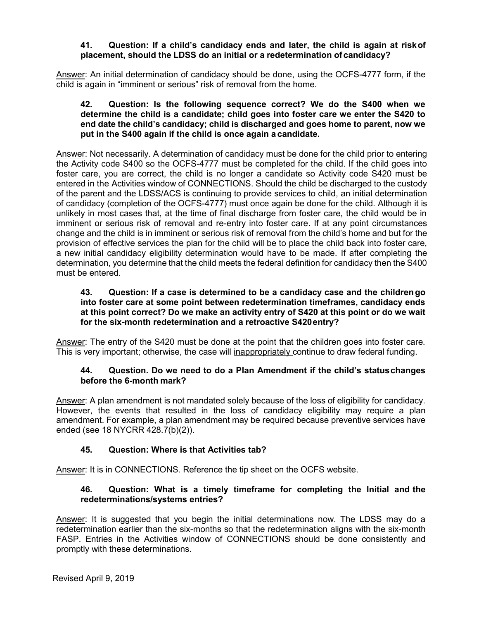### **41. Question: If a child's candidacy ends and later, the child is again at riskof placement, should the LDSS do an initial or a redetermination ofcandidacy?**

Answer: An initial determination of candidacy should be done, using the OCFS-4777 form, if the child is again in "imminent or serious" risk of removal from the home.

### **42. Question: Is the following sequence correct? We do the S400 when we determine the child is a candidate; child goes into foster care we enter the S420 to end date the child's candidacy; child is discharged and goes home to parent, now we put in the S400 again if the child is once again a candidate.**

Answer: Not necessarily. A determination of candidacy must be done for the child prior to entering the Activity code S400 so the OCFS-4777 must be completed for the child. If the child goes into foster care, you are correct, the child is no longer a candidate so Activity code S420 must be entered in the Activities window of CONNECTIONS. Should the child be discharged to the custody of the parent and the LDSS/ACS is continuing to provide services to child, an initial determination of candidacy (completion of the OCFS-4777) must once again be done for the child. Although it is unlikely in most cases that, at the time of final discharge from foster care, the child would be in imminent or serious risk of removal and re-entry into foster care. If at any point circumstances change and the child is in imminent or serious risk of removal from the child's home and but for the provision of effective services the plan for the child will be to place the child back into foster care, a new initial candidacy eligibility determination would have to be made. If after completing the determination, you determine that the child meets the federal definition for candidacy then the S400 must be entered.

### **43. Question: If a case is determined to be a candidacy case and the childrengo into foster care at some point between redetermination timeframes, candidacy ends at this point correct? Do we make an activity entry of S420 at this point or do we wait for the six-month redetermination and a retroactive S420entry?**

Answer: The entry of the S420 must be done at the point that the children goes into foster care. This is very important; otherwise, the case will *inappropriately* continue to draw federal funding.

### **44. Question. Do we need to do a Plan Amendment if the child's statuschanges before the 6-month mark?**

Answer: A plan amendment is not mandated solely because of the loss of eligibility for candidacy. However, the events that resulted in the loss of candidacy eligibility may require a plan amendment. For example, a plan amendment may be required because preventive services have ended (see 18 NYCRR 428.7(b)(2)).

# **45. Question: Where is that Activities tab?**

Answer: It is in CONNECTIONS. Reference the tip sheet on the OCFS website.

## **46. Question: What is a timely timeframe for completing the Initial and the redeterminations/systems entries?**

Answer: It is suggested that you begin the initial determinations now. The LDSS may do a redetermination earlier than the six-months so that the redetermination aligns with the six-month FASP. Entries in the Activities window of CONNECTIONS should be done consistently and promptly with these determinations.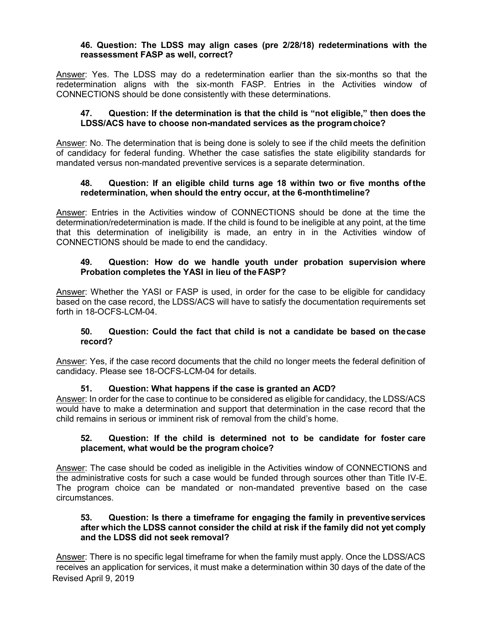#### **46. Question: The LDSS may align cases (pre 2/28/18) redeterminations with the reassessment FASP as well, correct?**

Answer: Yes. The LDSS may do a redetermination earlier than the six-months so that the redetermination aligns with the six-month FASP. Entries in the Activities window of CONNECTIONS should be done consistently with these determinations.

### **47. Question: If the determination is that the child is "not eligible," then does the LDSS/ACS have to choose non-mandated services as the programchoice?**

Answer: No. The determination that is being done is solely to see if the child meets the definition of candidacy for federal funding. Whether the case satisfies the state eligibility standards for mandated versus non-mandated preventive services is a separate determination.

### **48. Question: If an eligible child turns age 18 within two or five months ofthe redetermination, when should the entry occur, at the 6-monthtimeline?**

Answer: Entries in the Activities window of CONNECTIONS should be done at the time the determination/redetermination is made. If the child is found to be ineligible at any point, at the time that this determination of ineligibility is made, an entry in in the Activities window of CONNECTIONS should be made to end the candidacy.

### **49. Question: How do we handle youth under probation supervision where Probation completes the YASI in lieu of the FASP?**

Answer: Whether the YASI or FASP is used, in order for the case to be eligible for candidacy based on the case record, the LDSS/ACS will have to satisfy the documentation requirements set forth in 18-OCFS-LCM-04.

### **50. Question: Could the fact that child is not a candidate be based on thecase record?**

Answer: Yes, if the case record documents that the child no longer meets the federal definition of candidacy. Please see 18-OCFS-LCM-04 for details.

### **51. Question: What happens if the case is granted an ACD?**

Answer: In order for the case to continue to be considered as eligible for candidacy, the LDSS/ACS would have to make a determination and support that determination in the case record that the child remains in serious or imminent risk of removal from the child's home.

#### **52. Question: If the child is determined not to be candidate for foster care placement, what would be the program choice?**

Answer: The case should be coded as ineligible in the Activities window of CONNECTIONS and the administrative costs for such a case would be funded through sources other than Title IV-E. The program choice can be mandated or non-mandated preventive based on the case circumstances.

#### **53. Question: Is there a timeframe for engaging the family in preventiveservices after which the LDSS cannot consider the child at risk if the family did not yet comply and the LDSS did not seek removal?**

Revised April 9, 2019 Answer: There is no specific legal timeframe for when the family must apply. Once the LDSS/ACS receives an application for services, it must make a determination within 30 days of the date of the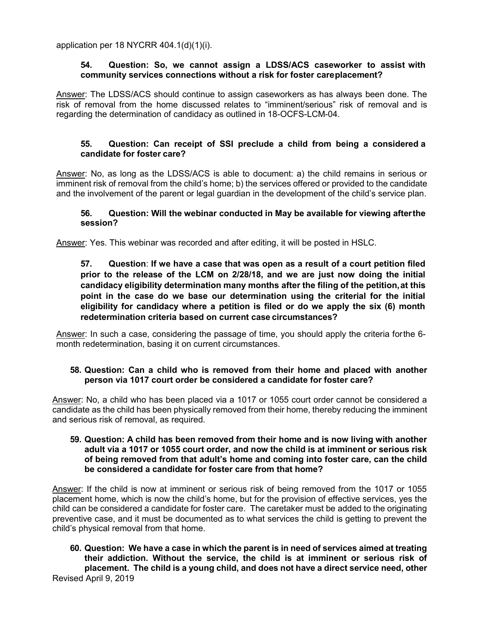application per 18 NYCRR 404.1(d)(1)(i).

#### **54. Question: So, we cannot assign a LDSS/ACS caseworker to assist with community services connections without a risk for foster careplacement?**

Answer: The LDSS/ACS should continue to assign caseworkers as has always been done. The risk of removal from the home discussed relates to "imminent/serious" risk of removal and is regarding the determination of candidacy as outlined in 18-OCFS-LCM-04.

### **55. Question: Can receipt of SSI preclude a child from being a considered a candidate for foster care?**

Answer: No, as long as the LDSS/ACS is able to document: a) the child remains in serious or imminent risk of removal from the child's home; b) the services offered or provided to the candidate and the involvement of the parent or legal guardian in the development of the child's service plan.

#### **56. Question: Will the webinar conducted in May be available for viewing afterthe session?**

Answer: Yes. This webinar was recorded and after editing, it will be posted in HSLC.

## **57. Question**: **If we have a case that was open as a result of a court petition filed prior to the release of the LCM on 2/28/18, and we are just now doing the initial candidacy eligibility determination many months after the filing of the petition,at this point in the case do we base our determination using the criterial for the initial eligibility for candidacy where a petition is filed or do we apply the six (6) month redetermination criteria based on current case circumstances?**

Answer: In such a case, considering the passage of time, you should apply the criteria forthe 6 month redetermination, basing it on current circumstances.

### **58. Question: Can a child who is removed from their home and placed with another person via 1017 court order be considered a candidate for foster care?**

Answer: No, a child who has been placed via a 1017 or 1055 court order cannot be considered a candidate as the child has been physically removed from their home, thereby reducing the imminent and serious risk of removal, as required.

#### **59. Question: A child has been removed from their home and is now living with another adult via a 1017 or 1055 court order, and now the child is at imminent or serious risk of being removed from that adult's home and coming into foster care, can the child be considered a candidate for foster care from that home?**

Answer: If the child is now at imminent or serious risk of being removed from the 1017 or 1055 placement home, which is now the child's home, but for the provision of effective services, yes the child can be considered a candidate for foster care. The caretaker must be added to the originating preventive case, and it must be documented as to what services the child is getting to prevent the child's physical removal from that home.

Revised April 9, 2019 **60. Question: We have a case in which the parent is in need of services aimed at treating their addiction. Without the service, the child is at imminent or serious risk of placement. The child is a young child, and does not have a direct service need, other**